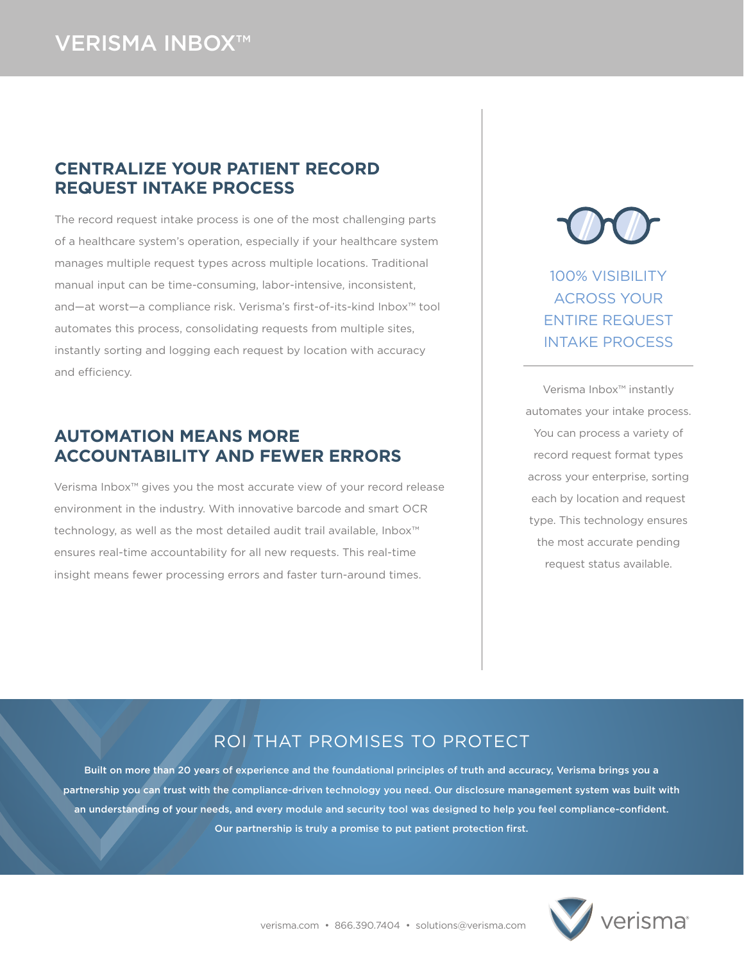## VERISMA INBOX™

#### **CENTRALIZE YOUR PATIENT RECORD REQUEST INTAKE PROCESS**

The record request intake process is one of the most challenging parts of a healthcare system's operation, especially if your healthcare system manages multiple request types across multiple locations. Traditional manual input can be time-consuming, labor-intensive, inconsistent, and—at worst—a compliance risk. Verisma's first-of-its-kind Inbox™ tool automates this process, consolidating requests from multiple sites, instantly sorting and logging each request by location with accuracy and efficiency.

#### **AUTOMATION MEANS MORE ACCOUNTABILITY AND FEWER ERRORS**

Verisma Inbox™ gives you the most accurate view of your record release environment in the industry. With innovative barcode and smart OCR technology, as well as the most detailed audit trail available, Inbox™ ensures real-time accountability for all new requests. This real-time insight means fewer processing errors and faster turn-around times.



100% VISIBILITY ACROSS YOUR ENTIRE REQUEST INTAKE PROCESS

Verisma Inbox™ instantly automates your intake process. You can process a variety of record request format types across your enterprise, sorting each by location and request type. This technology ensures the most accurate pending request status available.

## ROI THAT PROMISES TO PROTECT

Built on more than 20 years of experience and the foundational principles of truth and accuracy, Verisma brings you a partnership you can trust with the compliance-driven technology you need. Our disclosure management system was built with an understanding of your needs, and every module and security tool was designed to help you feel compliance-confident. Our partnership is truly a promise to put patient protection first.